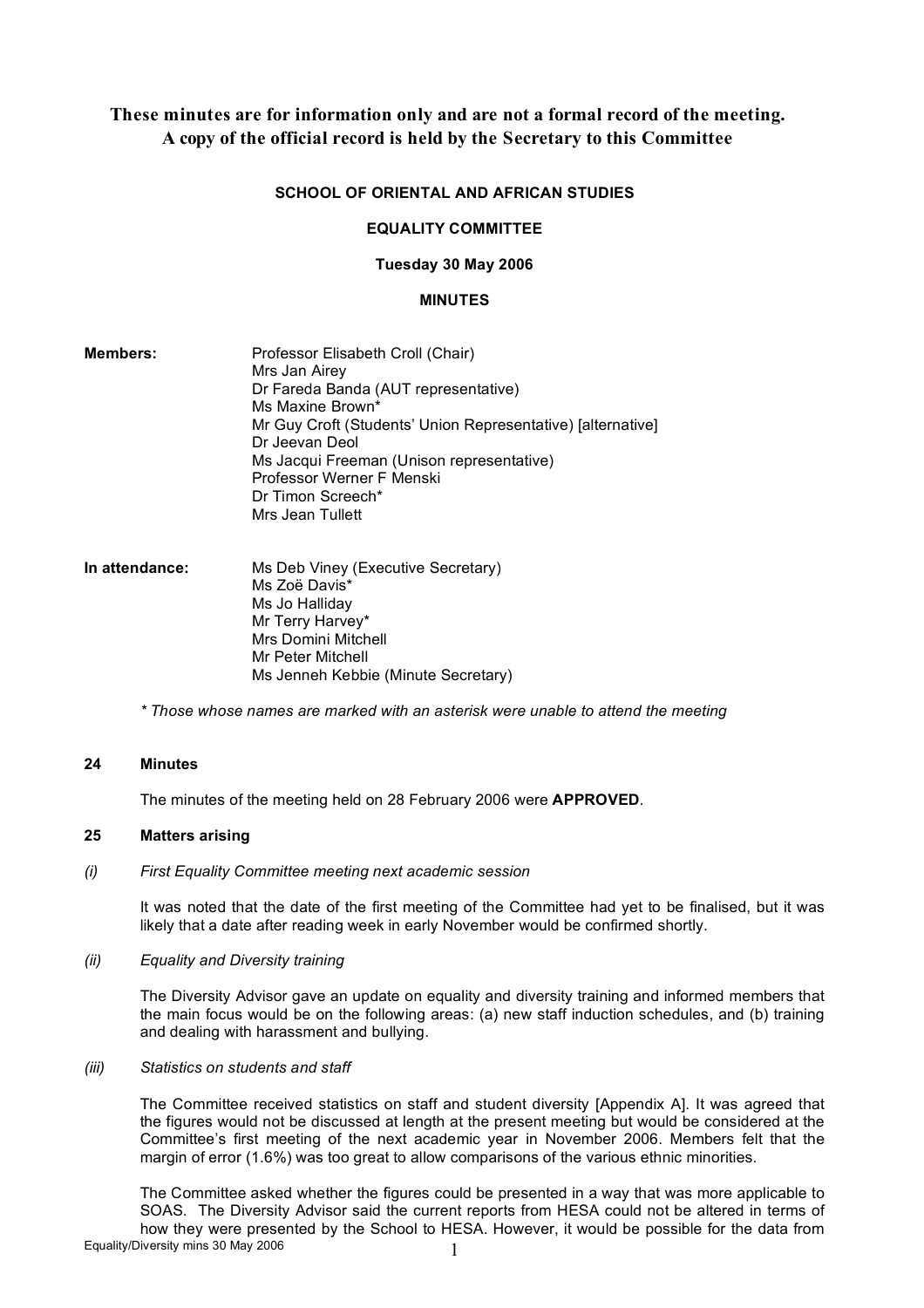# **These minutes are for information only and are not a formal record of the meeting. A copy of the official record is held by the Secretary to this Committee**

## **SCHOOL OF ORIENTAL AND AFRICAN STUDIES**

## **EQUALITY COMMITTEE**

## **Tuesday 30 May 2006**

#### **MINUTES**

- **Members:** Professor Elisabeth Croll (Chair) Mrs Jan Airey Dr Fareda Banda (AUT representative) Ms Maxine Brown\* Mr Guy Croft (Students' Union Representative) [alternative] Dr Jeevan Deol Ms Jacqui Freeman (Unison representative) Professor Werner F Menski Dr Timon Screech\* Mrs Jean Tullett
- **In attendance:** Ms Deb Viney (Executive Secretary) Ms Zoë Davis\* Ms Jo Halliday Mr Terry Harvey\* Mrs Domini Mitchell Mr Peter Mitchell Ms Jenneh Kebbie (Minute Secretary)

*\* Those whose names are marked with an asterisk were unable to attend the meeting*

#### **24 Minutes**

The minutes of the meeting held on 28 February 2006 were **APPROVED**.

# **25 Matters arising**

*(i) First Equality Committee meeting next academic session*

It was noted that the date of the first meeting of the Committee had yet to be finalised, but it was likely that a date after reading week in early November would be confirmed shortly.

*(ii) Equality and Diversity training*

The Diversity Advisor gave an update on equality and diversity training and informed members that the main focus would be on the following areas: (a) new staff induction schedules, and (b) training and dealing with harassment and bullying.

#### *(iii) Statistics on students and staff*

The Committee received statistics on staff and student diversity [Appendix A]. It was agreed that the figures would not be discussed at length at the present meeting but would be considered at the Committee's first meeting of the next academic year in November 2006. Members felt that the margin of error (1.6%) was too great to allow comparisons of the various ethnic minorities.

Equality/Diversity mins 30 May 2006 The Committee asked whether the figures could be presented in a way that was more applicable to SOAS. The Diversity Advisor said the current reports from HESA could not be altered in terms of how they were presented by the School to HESA. However, it would be possible for the data from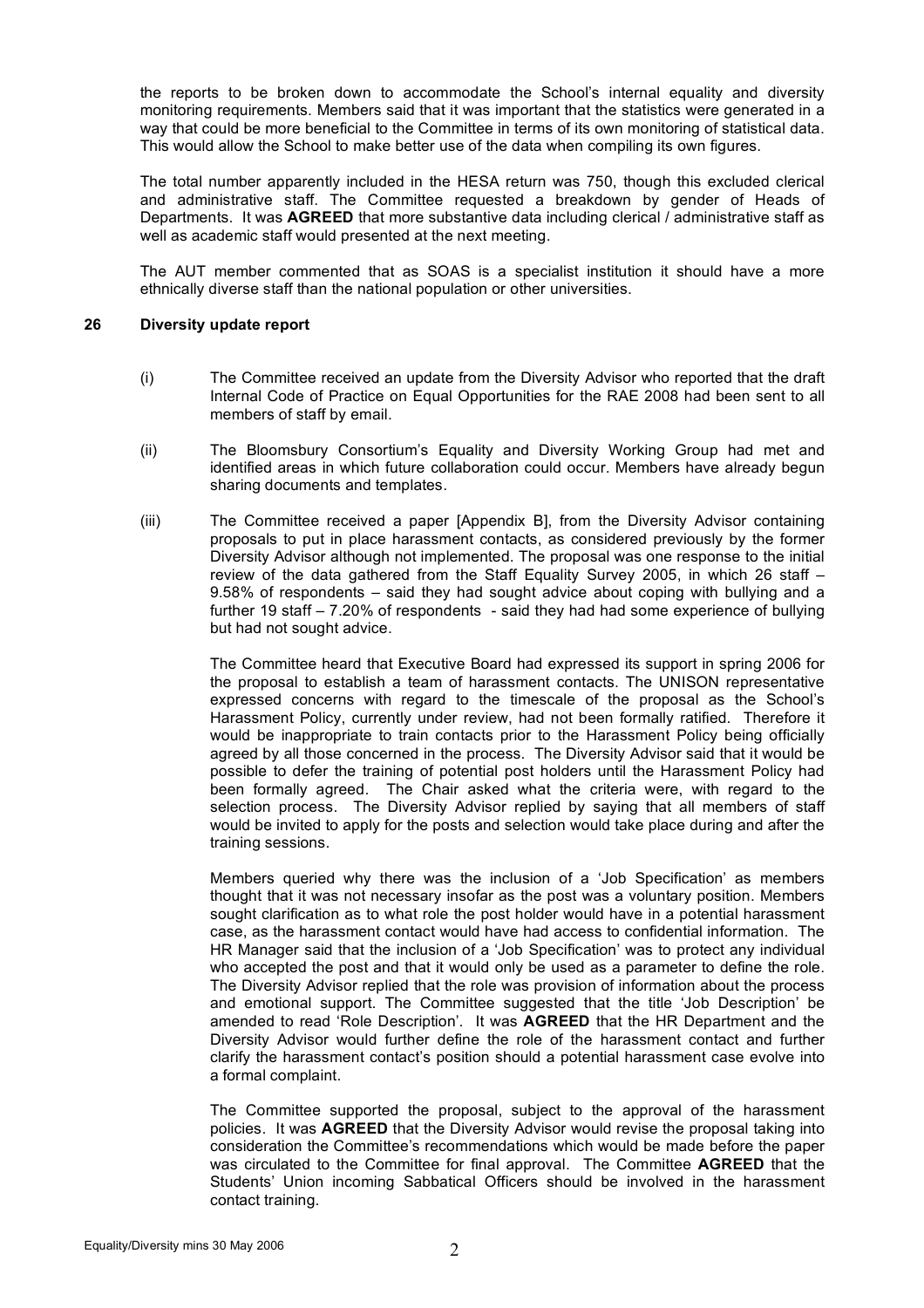the reports to be broken down to accommodate the School's internal equality and diversity monitoring requirements. Members said that it was important that the statistics were generated in a way that could be more beneficial to the Committee in terms of its own monitoring of statistical data. This would allow the School to make better use of the data when compiling its own figures.

The total number apparently included in the HESA return was 750, though this excluded clerical and administrative staff. The Committee requested a breakdown by gender of Heads of Departments. It was **AGREED** that more substantive data including clerical / administrative staff as well as academic staff would presented at the next meeting.

The AUT member commented that as SOAS is a specialist institution it should have a more ethnically diverse staff than the national population or other universities.

#### **26 Diversity update report**

- (i) The Committee received an update from the Diversity Advisor who reported that the draft Internal Code of Practice on Equal Opportunities for the RAE 2008 had been sent to all members of staff by email.
- (ii) The Bloomsbury Consortium's Equality and Diversity Working Group had met and identified areas in which future collaboration could occur. Members have already begun sharing documents and templates.
- (iii) The Committee received a paper [Appendix B], from the Diversity Advisor containing proposals to put in place harassment contacts, as considered previously by the former Diversity Advisor although not implemented. The proposal was one response to the initial review of the data gathered from the Staff Equality Survey 2005, in which 26 staff – 9.58% of respondents – said they had sought advice about coping with bullying and a further 19 staff – 7.20% of respondents - said they had had some experience of bullying but had not sought advice.

The Committee heard that Executive Board had expressed its support in spring 2006 for the proposal to establish a team of harassment contacts. The UNISON representative expressed concerns with regard to the timescale of the proposal as the School's Harassment Policy, currently under review, had not been formally ratified. Therefore it would be inappropriate to train contacts prior to the Harassment Policy being officially agreed by all those concerned in the process. The Diversity Advisor said that it would be possible to defer the training of potential post holders until the Harassment Policy had been formally agreed. The Chair asked what the criteria were, with regard to the selection process. The Diversity Advisor replied by saying that all members of staff would be invited to apply for the posts and selection would take place during and after the training sessions.

Members queried why there was the inclusion of a 'Job Specification' as members thought that it was not necessary insofar as the post was a voluntary position. Members sought clarification as to what role the post holder would have in a potential harassment case, as the harassment contact would have had access to confidential information. The HR Manager said that the inclusion of a 'Job Specification' was to protect any individual who accepted the post and that it would only be used as a parameter to define the role. The Diversity Advisor replied that the role was provision of information about the process and emotional support. The Committee suggested that the title 'Job Description' be amended to read 'Role Description'. It was **AGREED** that the HR Department and the Diversity Advisor would further define the role of the harassment contact and further clarify the harassment contact's position should a potential harassment case evolve into a formal complaint.

The Committee supported the proposal, subject to the approval of the harassment policies. It was **AGREED** that the Diversity Advisor would revise the proposal taking into consideration the Committee's recommendations which would be made before the paper was circulated to the Committee for final approval. The Committee **AGREED** that the Students' Union incoming Sabbatical Officers should be involved in the harassment contact training.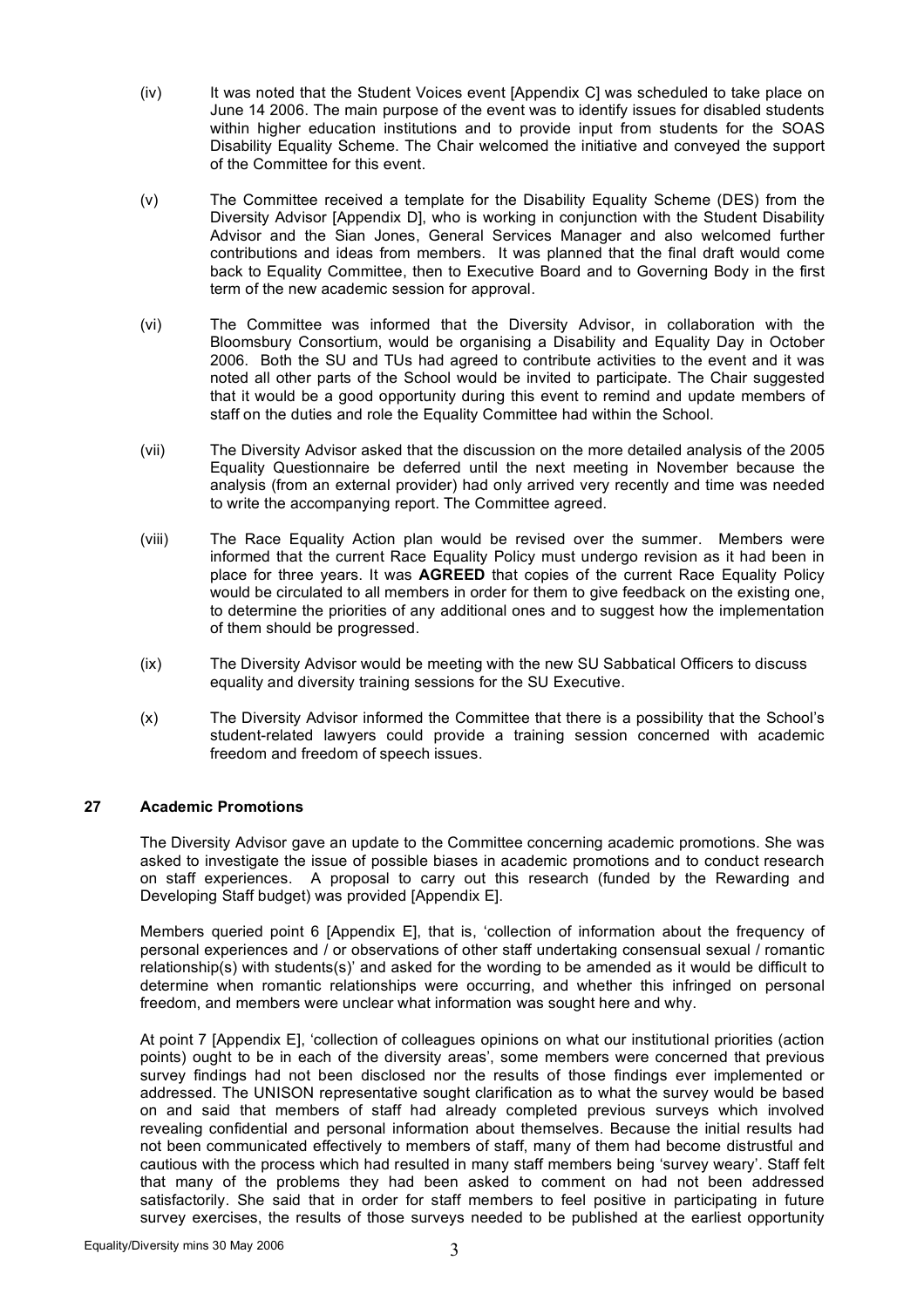- (iv) It was noted that the Student Voices event [Appendix C] was scheduled to take place on June 14 2006. The main purpose of the event was to identify issues for disabled students within higher education institutions and to provide input from students for the SOAS Disability Equality Scheme. The Chair welcomed the initiative and conveyed the support of the Committee for this event.
- (v) The Committee received a template for the Disability Equality Scheme (DES) from the Diversity Advisor [Appendix D], who is working in conjunction with the Student Disability Advisor and the Sian Jones, General Services Manager and also welcomed further contributions and ideas from members. It was planned that the final draft would come back to Equality Committee, then to Executive Board and to Governing Body in the first term of the new academic session for approval.
- (vi) The Committee was informed that the Diversity Advisor, in collaboration with the Bloomsbury Consortium, would be organising a Disability and Equality Day in October 2006. Both the SU and TUs had agreed to contribute activities to the event and it was noted all other parts of the School would be invited to participate. The Chair suggested that it would be a good opportunity during this event to remind and update members of staff on the duties and role the Equality Committee had within the School.
- (vii) The Diversity Advisor asked that the discussion on the more detailed analysis of the 2005 Equality Questionnaire be deferred until the next meeting in November because the analysis (from an external provider) had only arrived very recently and time was needed to write the accompanying report. The Committee agreed.
- (viii) The Race Equality Action plan would be revised over the summer. Members were informed that the current Race Equality Policy must undergo revision as it had been in place for three years. It was **AGREED** that copies of the current Race Equality Policy would be circulated to all members in order for them to give feedback on the existing one, to determine the priorities of any additional ones and to suggest how the implementation of them should be progressed.
- (ix) The Diversity Advisor would be meeting with the new SU Sabbatical Officers to discuss equality and diversity training sessions for the SU Executive.
- (x) The Diversity Advisor informed the Committee that there is a possibility that the School's student-related lawyers could provide a training session concerned with academic freedom and freedom of speech issues.

# **27 Academic Promotions**

The Diversity Advisor gave an update to the Committee concerning academic promotions. She was asked to investigate the issue of possible biases in academic promotions and to conduct research on staff experiences. A proposal to carry out this research (funded by the Rewarding and Developing Staff budget) was provided [Appendix E].

Members queried point 6 [Appendix E], that is, 'collection of information about the frequency of personal experiences and / or observations of other staff undertaking consensual sexual / romantic relationship(s) with students(s)' and asked for the wording to be amended as it would be difficult to determine when romantic relationships were occurring, and whether this infringed on personal freedom, and members were unclear what information was sought here and why.

At point 7 [Appendix E], 'collection of colleagues opinions on what our institutional priorities (action points) ought to be in each of the diversity areas', some members were concerned that previous survey findings had not been disclosed nor the results of those findings ever implemented or addressed. The UNISON representative sought clarification as to what the survey would be based on and said that members of staff had already completed previous surveys which involved revealing confidential and personal information about themselves. Because the initial results had not been communicated effectively to members of staff, many of them had become distrustful and cautious with the process which had resulted in many staff members being 'survey weary'. Staff felt that many of the problems they had been asked to comment on had not been addressed satisfactorily. She said that in order for staff members to feel positive in participating in future survev exercises, the results of those surveys needed to be published at the earliest opportunity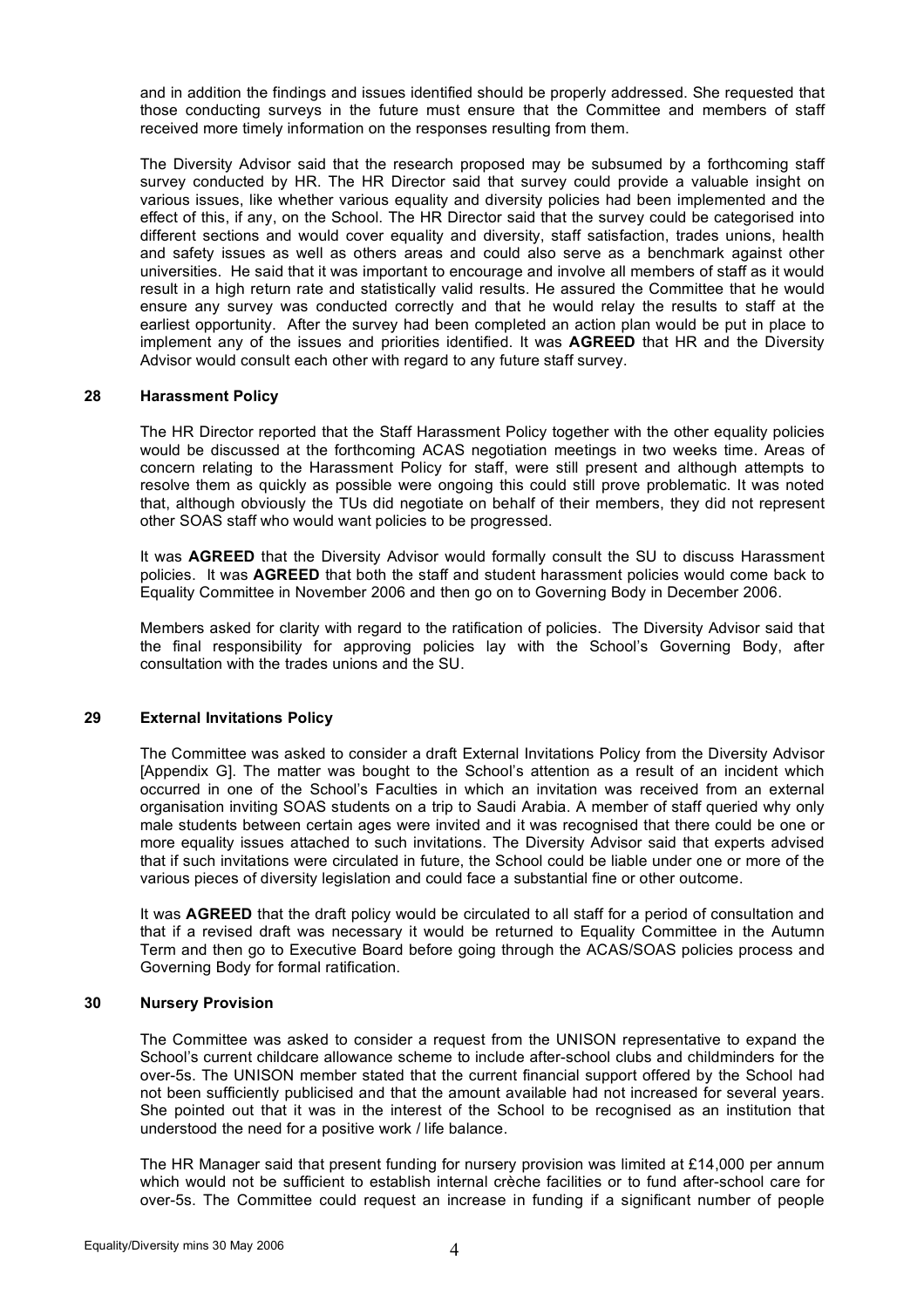and in addition the findings and issues identified should be properly addressed. She requested that those conducting surveys in the future must ensure that the Committee and members of staff received more timely information on the responses resulting from them.

The Diversity Advisor said that the research proposed may be subsumed by a forthcoming staff survey conducted by HR. The HR Director said that survey could provide a valuable insight on various issues, like whether various equality and diversity policies had been implemented and the effect of this, if any, on the School. The HR Director said that the survey could be categorised into different sections and would cover equality and diversity, staff satisfaction, trades unions, health and safety issues as well as others areas and could also serve as a benchmark against other universities. He said that it was important to encourage and involve all members of staff as it would result in a high return rate and statistically valid results. He assured the Committee that he would ensure any survey was conducted correctly and that he would relay the results to staff at the earliest opportunity. After the survey had been completed an action plan would be put in place to implement any of the issues and priorities identified. It was **AGREED** that HR and the Diversity Advisor would consult each other with regard to any future staff survey.

#### **28 Harassment Policy**

The HR Director reported that the Staff Harassment Policy together with the other equality policies would be discussed at the forthcoming ACAS negotiation meetings in two weeks time. Areas of concern relating to the Harassment Policy for staff, were still present and although attempts to resolve them as quickly as possible were ongoing this could still prove problematic. It was noted that, although obviously the TUs did negotiate on behalf of their members, they did not represent other SOAS staff who would want policies to be progressed.

It was **AGREED** that the Diversity Advisor would formally consult the SU to discuss Harassment policies. It was **AGREED** that both the staff and student harassment policies would come back to Equality Committee in November 2006 and then go on to Governing Body in December 2006.

Members asked for clarity with regard to the ratification of policies. The Diversity Advisor said that the final responsibility for approving policies lay with the School's Governing Body, after consultation with the trades unions and the SU.

# **29 External Invitations Policy**

The Committee was asked to consider a draft External Invitations Policy from the Diversity Advisor [Appendix G]. The matter was bought to the School's attention as a result of an incident which occurred in one of the School's Faculties in which an invitation was received from an external organisation inviting SOAS students on a trip to Saudi Arabia. A member of staff queried why only male students between certain ages were invited and it was recognised that there could be one or more equality issues attached to such invitations. The Diversity Advisor said that experts advised that if such invitations were circulated in future, the School could be liable under one or more of the various pieces of diversity legislation and could face a substantial fine or other outcome.

It was **AGREED** that the draft policy would be circulated to all staff for a period of consultation and that if a revised draft was necessary it would be returned to Equality Committee in the Autumn Term and then go to Executive Board before going through the ACAS/SOAS policies process and Governing Body for formal ratification.

#### **30 Nursery Provision**

The Committee was asked to consider a request from the UNISON representative to expand the School's current childcare allowance scheme to include after-school clubs and childminders for the over-5s. The UNISON member stated that the current financial support offered by the School had not been sufficiently publicised and that the amount available had not increased for several years. She pointed out that it was in the interest of the School to be recognised as an institution that understood the need for a positive work / life balance.

The HR Manager said that present funding for nursery provision was limited at £14,000 per annum which would not be sufficient to establish internal crèche facilities or to fund after-school care for over-5s. The Committee could request an increase in funding if a significant number of people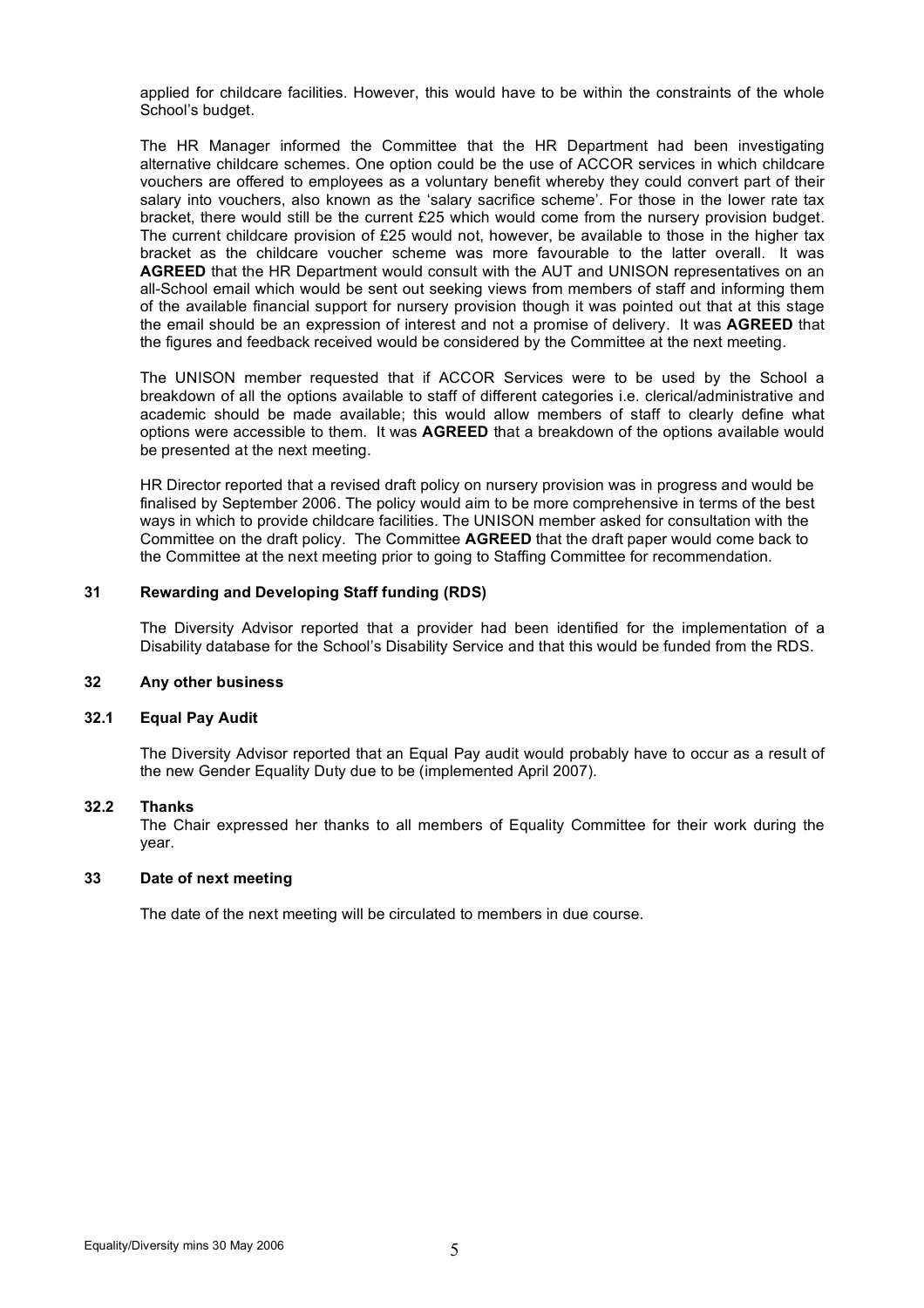applied for childcare facilities. However, this would have to be within the constraints of the whole School's budget.

The HR Manager informed the Committee that the HR Department had been investigating alternative childcare schemes. One option could be the use of ACCOR services in which childcare vouchers are offered to employees as a voluntary benefit whereby they could convert part of their salary into vouchers, also known as the 'salary sacrifice scheme'. For those in the lower rate tax bracket, there would still be the current £25 which would come from the nursery provision budget. The current childcare provision of  $£25$  would not, however, be available to those in the higher tax bracket as the childcare voucher scheme was more favourable to the latter overall. It was **AGREED** that the HR Department would consult with the AUT and UNISON representatives on an all-School email which would be sent out seeking views from members of staff and informing them of the available financial support for nursery provision though it was pointed out that at this stage the email should be an expression of interest and not a promise of delivery. It was **AGREED** that the figures and feedback received would be considered by the Committee at the next meeting.

The UNISON member requested that if ACCOR Services were to be used by the School a breakdown of all the options available to staff of different categories i.e. clerical/administrative and academic should be made available; this would allow members of staff to clearly define what options were accessible to them. It was **AGREED** that a breakdown of the options available would be presented at the next meeting.

HR Director reported that a revised draft policy on nursery provision was in progress and would be finalised by September 2006. The policy would aim to be more comprehensive in terms of the best ways in which to provide childcare facilities. The UNISON member asked for consultation with the Committee on the draft policy. The Committee **AGREED** that the draft paper would come back to the Committee at the next meeting prior to going to Staffing Committee for recommendation.

## **31 Rewarding and Developing Staff funding (RDS)**

The Diversity Advisor reported that a provider had been identified for the implementation of a Disability database for the School's Disability Service and that this would be funded from the RDS.

#### **32 Any other business**

#### **32.1 Equal Pay Audit**

The Diversity Advisor reported that an Equal Pay audit would probably have to occur as a result of the new Gender Equality Duty due to be (implemented April 2007).

#### **32.2 Thanks**

The Chair expressed her thanks to all members of Equality Committee for their work during the year.

#### **33 Date of next meeting**

The date of the next meeting will be circulated to members in due course.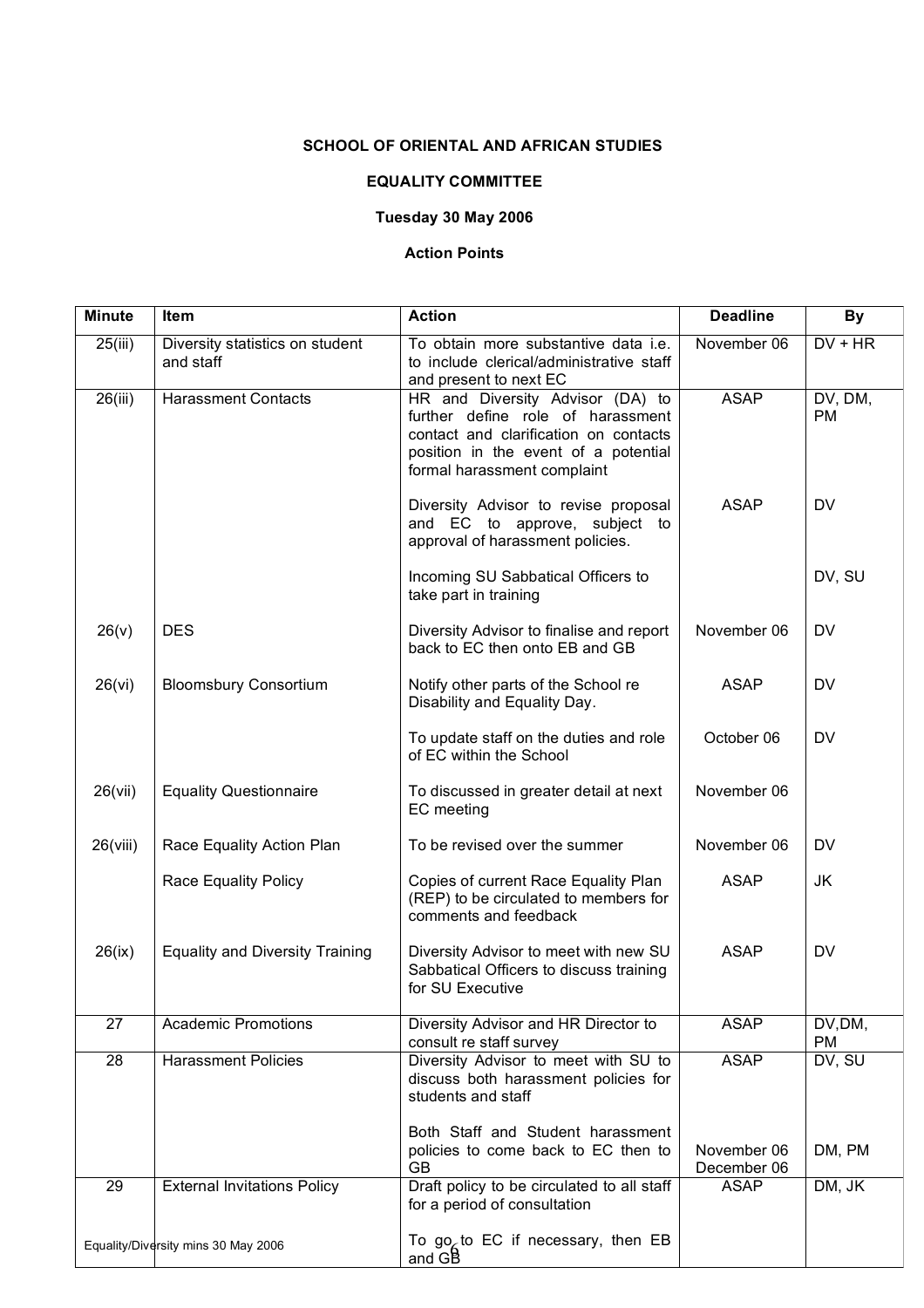# **SCHOOL OF ORIENTAL AND AFRICAN STUDIES**

# **EQUALITY COMMITTEE**

# **Tuesday 30 May 2006**

# **Action Points**

| <b>Minute</b> | <b>Item</b>                                  | <b>Action</b>                                                                                                                                                                         | <b>Deadline</b>            | <b>By</b>            |
|---------------|----------------------------------------------|---------------------------------------------------------------------------------------------------------------------------------------------------------------------------------------|----------------------------|----------------------|
| 25(iii)       | Diversity statistics on student<br>and staff | To obtain more substantive data i.e.<br>to include clerical/administrative staff<br>and present to next EC                                                                            | November 06                | $DV$ + $HR$          |
| 26(iii)       | <b>Harassment Contacts</b>                   | HR and Diversity Advisor (DA) to<br>further define role of harassment<br>contact and clarification on contacts<br>position in the event of a potential<br>formal harassment complaint | <b>ASAP</b>                | DV, DM,<br><b>PM</b> |
|               |                                              | Diversity Advisor to revise proposal<br>and EC to approve, subject to<br>approval of harassment policies.                                                                             | <b>ASAP</b>                | <b>DV</b>            |
|               |                                              | Incoming SU Sabbatical Officers to<br>take part in training                                                                                                                           |                            | DV, SU               |
| 26(v)         | <b>DES</b>                                   | Diversity Advisor to finalise and report<br>back to EC then onto EB and GB                                                                                                            | November 06                | DV                   |
| 26(vi)        | <b>Bloomsbury Consortium</b>                 | Notify other parts of the School re<br>Disability and Equality Day.                                                                                                                   | <b>ASAP</b>                | <b>DV</b>            |
|               |                                              | To update staff on the duties and role<br>of EC within the School                                                                                                                     | October 06                 | <b>DV</b>            |
| 26(vii)       | <b>Equality Questionnaire</b>                | To discussed in greater detail at next<br>EC meeting                                                                                                                                  | November 06                |                      |
| 26(viii)      | Race Equality Action Plan                    | To be revised over the summer                                                                                                                                                         | November 06                | <b>DV</b>            |
|               | <b>Race Equality Policy</b>                  | Copies of current Race Equality Plan<br>(REP) to be circulated to members for<br>comments and feedback                                                                                | <b>ASAP</b>                | JK                   |
| 26(ix)        | <b>Equality and Diversity Training</b>       | Diversity Advisor to meet with new SU<br>Sabbatical Officers to discuss training<br>for SU Executive                                                                                  | <b>ASAP</b>                | <b>DV</b>            |
| 27            | <b>Academic Promotions</b>                   | Diversity Advisor and HR Director to<br>consult re staff survey                                                                                                                       | <b>ASAP</b>                | DV,DM,<br><b>PM</b>  |
| 28            | <b>Harassment Policies</b>                   | Diversity Advisor to meet with SU to<br>discuss both harassment policies for<br>students and staff                                                                                    | <b>ASAP</b>                | DV, SU               |
|               |                                              | Both Staff and Student harassment<br>policies to come back to EC then to<br>GB                                                                                                        | November 06<br>December 06 | DM, PM               |
| 29            | <b>External Invitations Policy</b>           | Draft policy to be circulated to all staff<br>for a period of consultation                                                                                                            | <b>ASAP</b>                | DM, JK               |
|               | Equality/Diversity mins 30 May 2006          | To go <sub>c</sub> to EC if necessary, then EB<br>and GB                                                                                                                              |                            |                      |